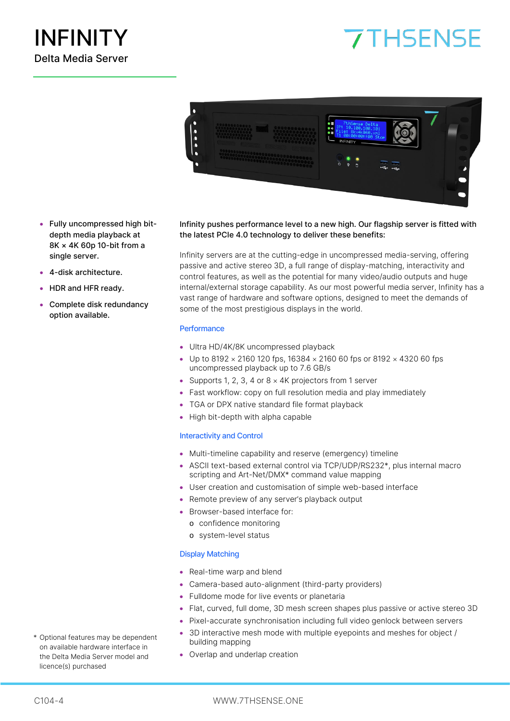# **7THSENSE**



- Fully uncompressed high bitdepth media playback at 8K × 4K 60p 10-bit from a single server.
- 4-disk architecture.
- HDR and HFR ready.
- Complete disk redundancy option available.

Infinity pushes performance level to a new high. Our flagship server is fitted with the latest PCIe 4.0 technology to deliver these benefits:

Infinity servers are at the cutting-edge in uncompressed media-serving, offering passive and active stereo 3D, a full range of display-matching, interactivity and control features, as well as the potential for many video/audio outputs and huge internal/external storage capability. As our most powerful media server, Infinity has a vast range of hardware and software options, designed to meet the demands of some of the most prestigious displays in the world.

### **Performance**

- Ultra HD/4K/8K uncompressed playback
- Up to 8192  $\times$  2160 120 fps, 16384  $\times$  2160 60 fps or 8192  $\times$  4320 60 fps uncompressed playback up to 7.6 GB/s
- Supports 1, 2, 3, 4 or  $8 \times 4$ K projectors from 1 server
- Fast workflow: copy on full resolution media and play immediately
- TGA or DPX native standard file format playback
- High bit-depth with alpha capable

#### Interactivity and Control

- Multi-timeline capability and reserve (emergency) timeline
- ASCII text-based external control via TCP/UDP/RS232\*, plus internal macro scripting and Art-Net/DMX\* command value mapping
- User creation and customisation of simple web-based interface
- Remote preview of any server's playback output
- Browser-based interface for:
	- o confidence monitoring
	- o system-level status

#### Display Matching

- Real-time warp and blend
- Camera-based auto-alignment (third-party providers)
- Fulldome mode for live events or planetaria
- Flat, curved, full dome, 3D mesh screen shapes plus passive or active stereo 3D
- Pixel-accurate synchronisation including full video genlock between servers
- 3D interactive mesh mode with multiple eyepoints and meshes for object / building mapping
- Overlap and underlap creation
- \* Optional features may be dependent on available hardware interface in the Delta Media Server model and licence(s) purchased